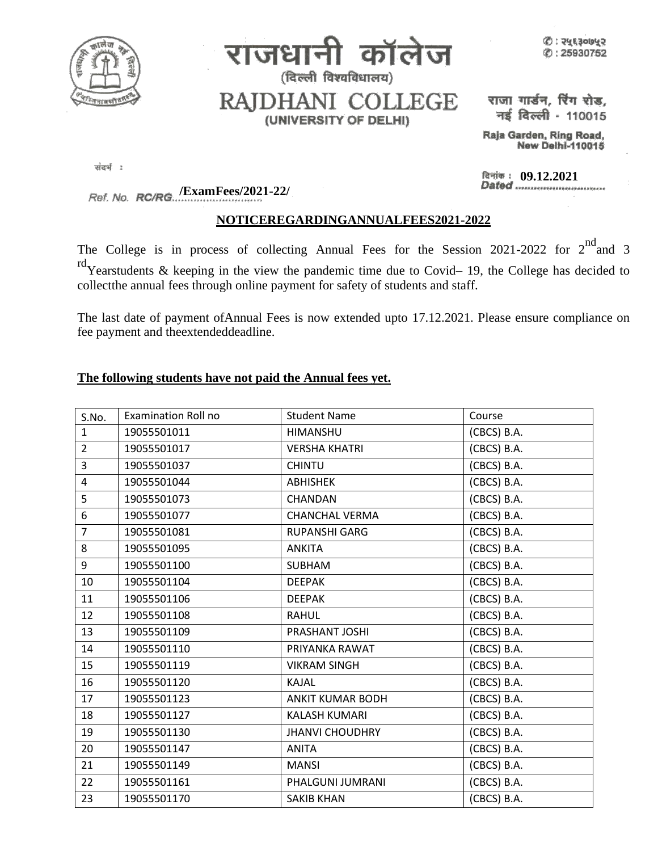

ानी कॉलेज राजध (दिल्ली विश्वविधालय)

 $\circledB$  : २५६३०७५२  $O: 25930752$ 

RAJDHANI COLLEGE (UNIVERSITY OF DELHI)

राजा गार्डन, रिंग रोड, नई दिल्ली - 110015

Raja Garden, Ring Road, New Delhi-110015

संदर्भ:

दिनांक : 09.12.2021<br>Dated .............................

**/ExamFees/2021-22/**

## **NOTICEREGARDINGANNUALFEES2021-2022**

The College is in process of collecting Annual Fees for the Session 2021-2022 for  $2^{nd}$  and 3  $r d$ Yearstudents & keeping in the view the pandemic time due to Covid– 19, the College has decided to collectthe annual fees through online payment for safety of students and staff.

The last date of payment ofAnnual Fees is now extended upto 17.12.2021. Please ensure compliance on fee payment and theextendeddeadline.

## **The following students have not paid the Annual fees yet.**

| S.No.          | <b>Examination Roll no</b> | <b>Student Name</b>     | Course      |
|----------------|----------------------------|-------------------------|-------------|
| $\mathbf{1}$   | 19055501011                | HIMANSHU                | (CBCS) B.A. |
| $\overline{2}$ | 19055501017                | <b>VERSHA KHATRI</b>    | (CBCS) B.A. |
| 3              | 19055501037                | <b>CHINTU</b>           | (CBCS) B.A. |
| 4              | 19055501044                | <b>ABHISHEK</b>         | (CBCS) B.A. |
| 5              | 19055501073                | CHANDAN                 | (CBCS) B.A. |
| 6              | 19055501077                | <b>CHANCHAL VERMA</b>   | (CBCS) B.A. |
| $\overline{7}$ | 19055501081                | <b>RUPANSHI GARG</b>    | (CBCS) B.A. |
| 8              | 19055501095                | <b>ANKITA</b>           | (CBCS) B.A. |
| 9              | 19055501100                | <b>SUBHAM</b>           | (CBCS) B.A. |
| 10             | 19055501104                | <b>DEEPAK</b>           | (CBCS) B.A. |
| 11             | 19055501106                | <b>DEEPAK</b>           | (CBCS) B.A. |
| 12             | 19055501108                | <b>RAHUL</b>            | (CBCS) B.A. |
| 13             | 19055501109                | PRASHANT JOSHI          | (CBCS) B.A. |
| 14             | 19055501110                | PRIYANKA RAWAT          | (CBCS) B.A. |
| 15             | 19055501119                | <b>VIKRAM SINGH</b>     | (CBCS) B.A. |
| 16             | 19055501120                | <b>KAJAL</b>            | (CBCS) B.A. |
| 17             | 19055501123                | <b>ANKIT KUMAR BODH</b> | (CBCS) B.A. |
| 18             | 19055501127                | <b>KALASH KUMARI</b>    | (CBCS) B.A. |
| 19             | 19055501130                | <b>JHANVI CHOUDHRY</b>  | (CBCS) B.A. |
| 20             | 19055501147                | <b>ANITA</b>            | (CBCS) B.A. |
| 21             | 19055501149                | <b>MANSI</b>            | (CBCS) B.A. |
| 22             | 19055501161                | PHALGUNI JUMRANI        | (CBCS) B.A. |
| 23             | 19055501170                | <b>SAKIB KHAN</b>       | (CBCS) B.A. |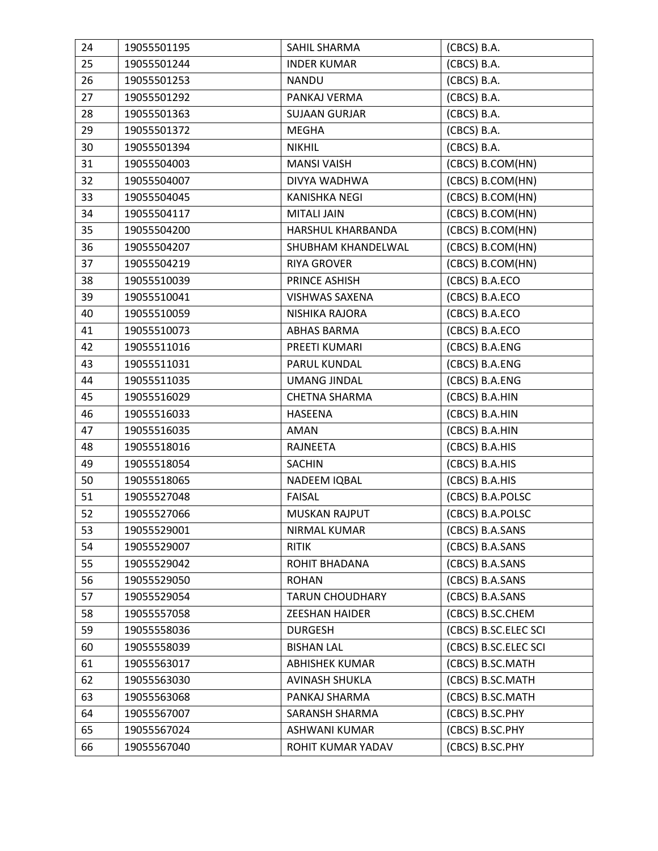| 24 | 19055501195 | SAHIL SHARMA           | (CBCS) B.A.          |
|----|-------------|------------------------|----------------------|
| 25 | 19055501244 | <b>INDER KUMAR</b>     | (CBCS) B.A.          |
| 26 | 19055501253 | <b>NANDU</b>           | (CBCS) B.A.          |
| 27 | 19055501292 | PANKAJ VERMA           | (CBCS) B.A.          |
| 28 | 19055501363 | <b>SUJAAN GURJAR</b>   | (CBCS) B.A.          |
| 29 | 19055501372 | MEGHA                  | (CBCS) B.A.          |
| 30 | 19055501394 | <b>NIKHIL</b>          | (CBCS) B.A.          |
| 31 | 19055504003 | <b>MANSI VAISH</b>     | (CBCS) B.COM(HN)     |
| 32 | 19055504007 | DIVYA WADHWA           | (CBCS) B.COM(HN)     |
| 33 | 19055504045 | <b>KANISHKA NEGI</b>   | (CBCS) B.COM(HN)     |
| 34 | 19055504117 | <b>MITALI JAIN</b>     | (CBCS) B.COM(HN)     |
| 35 | 19055504200 | HARSHUL KHARBANDA      | (CBCS) B.COM(HN)     |
| 36 | 19055504207 | SHUBHAM KHANDELWAL     | (CBCS) B.COM(HN)     |
| 37 | 19055504219 | <b>RIYA GROVER</b>     | (CBCS) B.COM(HN)     |
| 38 | 19055510039 | PRINCE ASHISH          | (CBCS) B.A.ECO       |
| 39 | 19055510041 | <b>VISHWAS SAXENA</b>  | (CBCS) B.A.ECO       |
| 40 | 19055510059 | NISHIKA RAJORA         | (CBCS) B.A.ECO       |
| 41 | 19055510073 | ABHAS BARMA            | (CBCS) B.A.ECO       |
| 42 | 19055511016 | PREETI KUMARI          | (CBCS) B.A.ENG       |
| 43 | 19055511031 | PARUL KUNDAL           | (CBCS) B.A.ENG       |
| 44 | 19055511035 | <b>UMANG JINDAL</b>    | (CBCS) B.A.ENG       |
| 45 | 19055516029 | <b>CHETNA SHARMA</b>   | (CBCS) B.A.HIN       |
| 46 | 19055516033 | <b>HASEENA</b>         | (CBCS) B.A.HIN       |
| 47 | 19055516035 | AMAN                   | (CBCS) B.A.HIN       |
| 48 | 19055518016 | RAJNEETA               | (CBCS) B.A.HIS       |
| 49 | 19055518054 | <b>SACHIN</b>          | (CBCS) B.A.HIS       |
| 50 | 19055518065 | NADEEM IQBAL           | (CBCS) B.A.HIS       |
| 51 | 19055527048 | <b>FAISAL</b>          | (CBCS) B.A.POLSC     |
| 52 | 19055527066 | <b>MUSKAN RAJPUT</b>   | (CBCS) B.A.POLSC     |
| 53 | 19055529001 | NIRMAL KUMAR           | (CBCS) B.A.SANS      |
| 54 | 19055529007 | <b>RITIK</b>           | (CBCS) B.A.SANS      |
| 55 | 19055529042 | ROHIT BHADANA          | (CBCS) B.A.SANS      |
| 56 | 19055529050 | <b>ROHAN</b>           | (CBCS) B.A.SANS      |
| 57 | 19055529054 | <b>TARUN CHOUDHARY</b> | (CBCS) B.A.SANS      |
| 58 | 19055557058 | <b>ZEESHAN HAIDER</b>  | (CBCS) B.SC.CHEM     |
| 59 | 19055558036 | <b>DURGESH</b>         | (CBCS) B.SC.ELEC SCI |
| 60 | 19055558039 | <b>BISHAN LAL</b>      | (CBCS) B.SC.ELEC SCI |
| 61 | 19055563017 | <b>ABHISHEK KUMAR</b>  | (CBCS) B.SC.MATH     |
| 62 | 19055563030 | <b>AVINASH SHUKLA</b>  | (CBCS) B.SC.MATH     |
| 63 | 19055563068 | PANKAJ SHARMA          | (CBCS) B.SC.MATH     |
| 64 | 19055567007 | SARANSH SHARMA         | (CBCS) B.SC.PHY      |
| 65 | 19055567024 | ASHWANI KUMAR          | (CBCS) B.SC.PHY      |
| 66 | 19055567040 | ROHIT KUMAR YADAV      | (CBCS) B.SC.PHY      |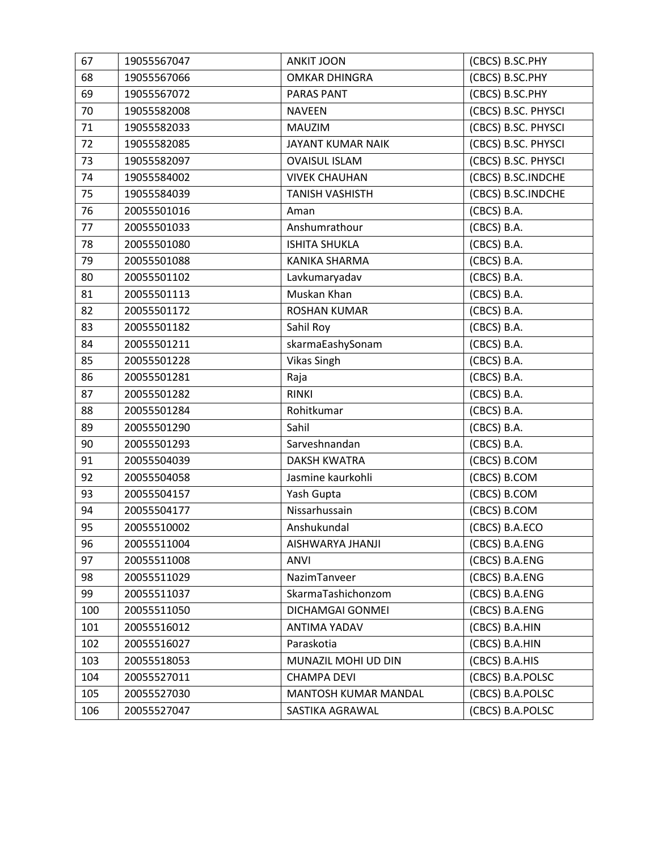| 67  | 19055567047 | <b>ANKIT JOON</b>      | (CBCS) B.SC.PHY     |
|-----|-------------|------------------------|---------------------|
| 68  | 19055567066 | <b>OMKAR DHINGRA</b>   | (CBCS) B.SC.PHY     |
| 69  | 19055567072 | <b>PARAS PANT</b>      | (CBCS) B.SC.PHY     |
| 70  | 19055582008 | <b>NAVEEN</b>          | (CBCS) B.SC. PHYSCI |
| 71  | 19055582033 | <b>MAUZIM</b>          | (CBCS) B.SC. PHYSCI |
| 72  | 19055582085 | JAYANT KUMAR NAIK      | (CBCS) B.SC. PHYSCI |
| 73  | 19055582097 | <b>OVAISUL ISLAM</b>   | (CBCS) B.SC. PHYSCI |
| 74  | 19055584002 | <b>VIVEK CHAUHAN</b>   | (CBCS) B.SC.INDCHE  |
| 75  | 19055584039 | <b>TANISH VASHISTH</b> | (CBCS) B.SC.INDCHE  |
| 76  | 20055501016 | Aman                   | (CBCS) B.A.         |
| 77  | 20055501033 | Anshumrathour          | (CBCS) B.A.         |
| 78  | 20055501080 | <b>ISHITA SHUKLA</b>   | (CBCS) B.A.         |
| 79  | 20055501088 | <b>KANIKA SHARMA</b>   | (CBCS) B.A.         |
| 80  | 20055501102 | Lavkumaryadav          | (CBCS) B.A.         |
| 81  | 20055501113 | Muskan Khan            | (CBCS) B.A.         |
| 82  | 20055501172 | <b>ROSHAN KUMAR</b>    | (CBCS) B.A.         |
| 83  | 20055501182 | Sahil Roy              | (CBCS) B.A.         |
| 84  | 20055501211 | skarmaEashySonam       | (CBCS) B.A.         |
| 85  | 20055501228 | <b>Vikas Singh</b>     | (CBCS) B.A.         |
| 86  | 20055501281 | Raja                   | (CBCS) B.A.         |
| 87  | 20055501282 | <b>RINKI</b>           | (CBCS) B.A.         |
| 88  | 20055501284 | Rohitkumar             | (CBCS) B.A.         |
| 89  | 20055501290 | Sahil                  | (CBCS) B.A.         |
| 90  | 20055501293 | Sarveshnandan          | (CBCS) B.A.         |
| 91  | 20055504039 | <b>DAKSH KWATRA</b>    | (CBCS) B.COM        |
| 92  | 20055504058 | Jasmine kaurkohli      | (CBCS) B.COM        |
| 93  | 20055504157 | Yash Gupta             | (CBCS) B.COM        |
| 94  | 20055504177 | Nissarhussain          | (CBCS) B.COM        |
| 95  | 20055510002 | Anshukundal            | (CBCS) B.A.ECO      |
| 96  | 20055511004 | AISHWARYA JHANJI       | (CBCS) B.A.ENG      |
| 97  | 20055511008 | <b>ANVI</b>            | (CBCS) B.A.ENG      |
| 98  | 20055511029 | NazimTanveer           | (CBCS) B.A.ENG      |
| 99  | 20055511037 | SkarmaTashichonzom     | (CBCS) B.A.ENG      |
| 100 | 20055511050 | DICHAMGAI GONMEI       | (CBCS) B.A.ENG      |
| 101 | 20055516012 | ANTIMA YADAV           | (CBCS) B.A.HIN      |
| 102 | 20055516027 | Paraskotia             | (CBCS) B.A.HIN      |
| 103 | 20055518053 | MUNAZIL MOHI UD DIN    | (CBCS) B.A.HIS      |
| 104 | 20055527011 | <b>CHAMPA DEVI</b>     | (CBCS) B.A.POLSC    |
| 105 | 20055527030 | MANTOSH KUMAR MANDAL   | (CBCS) B.A.POLSC    |
| 106 | 20055527047 | SASTIKA AGRAWAL        | (CBCS) B.A.POLSC    |